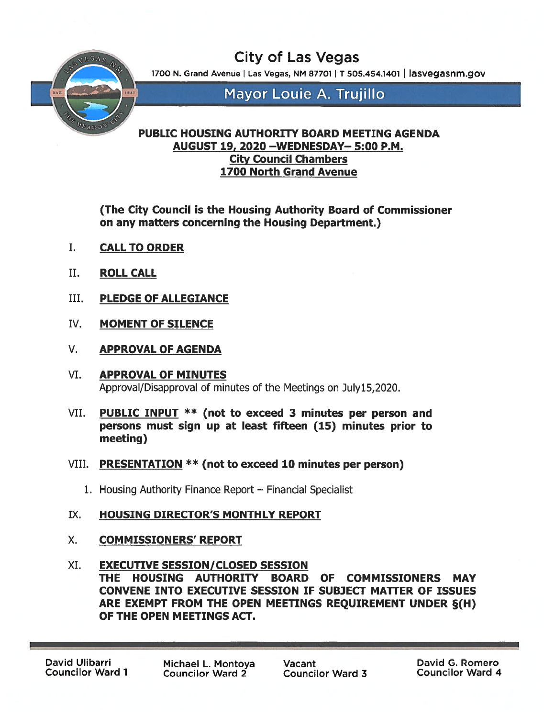City of Las Vegas

1700 N. Grand Avenue | Las Vegas, NM 87701 | T 505.454.1401 | lasvegasnm.gov



Mayor Louie A. Trujillo

## PUBLIC HOUSING AUTHORITY BOARD MEETING AGENDA AUGUST 19, 2020 —WEDNESDAY— 5:00 P.M. City Council Chambers 1700 North Grand Avenue

(The City Council is the Housing Authority Board of Commissioner on any matters concerning the Housing Department.)

- I. CALLTO ORDER
- II, ROLL CALL
- III. PLEDGE OF ALLEGIANCE
- IV. MOMENT OF SILENCE
- V. APPROVAL OF AGENDA
- VI. APPROVAL OF MINUTES Approval/Disapproval of minutes of the Meetings on Julyl5,2020.
- VII. PUBLIC INPUT \*\* (not to exceed 3 minutes per person and persons must sign up at least fifteen (15) minutes prior to meeting)
- VIII. PRESENTATION \*\* (not to exceed <sup>10</sup> minutes per person)
	- 1. housing Authority Finance Report Financial Specialist
- IX. HOUSING DIRECTOR'S MONTHLY REPORT
- X. COMMISSIONERS' REPORT
- XI. EXECUTIVE SESSION/CLOSED SESSION THE HOUSING AUTHORITY BOARD OF COMMISSIONERS MAY CONVENE INTO EXECUTIVE SESSION IF SUBJECT MATTER OF ISSUES ARE EXEMPT FROM THE OPEN MEETINGS REQUIREMENT UNDER §(H) OF THE OPEN MEETINGS ACT.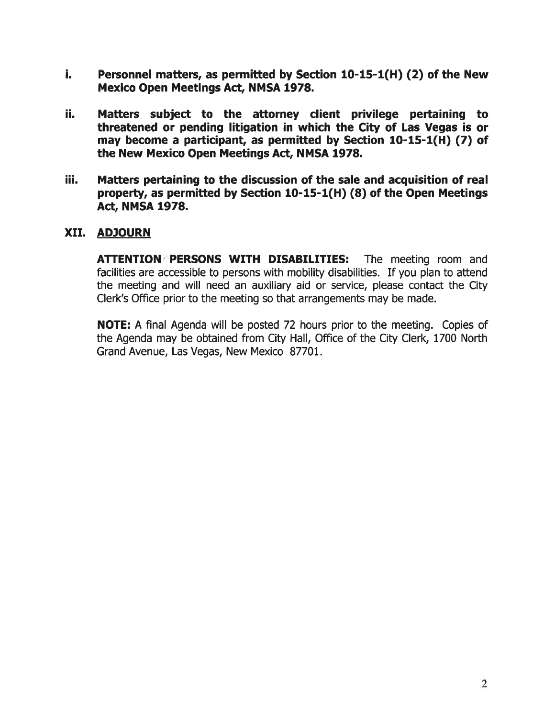- i. Personnel matters, as permitted by Section 10-15-1(H) (2) of the New Mexico Open Meetings Act, NMSA 1978.
- ii. Matters subject to the attorney client privilege pertaining to threatened or pending litigation in which the City of Las Vegas is or may become <sup>a</sup> participant, as permitted by Section 10-15-1(H) (7) of the New Mexico Open Meetings Act, NMSA 1978
- iii. Matters pertaining to the discussion of the sale and acquisition of real property, as permitted by Section 10-15-1(H) (8) of the Open Meetings Act, NMSA 1978.

## XII. ADJOURN

ATTENTION PERSONS WITH DISABILITIES: The meeting room and facilities are accessible to persons with mobility disabilities. If you plan to attend the meeting and will need an auxiliary aid or service, please contact the City Clerk's Office prior to the meeting so that arrangements may be made.

NOTE: A final Agenda will be posted 72 hours prior to the meeting. Copies of the Agenda may be obtained from City Hall, Office of the City Clerk, 1700 North Grand Avenue, Las Vegas, New Mexico 87701.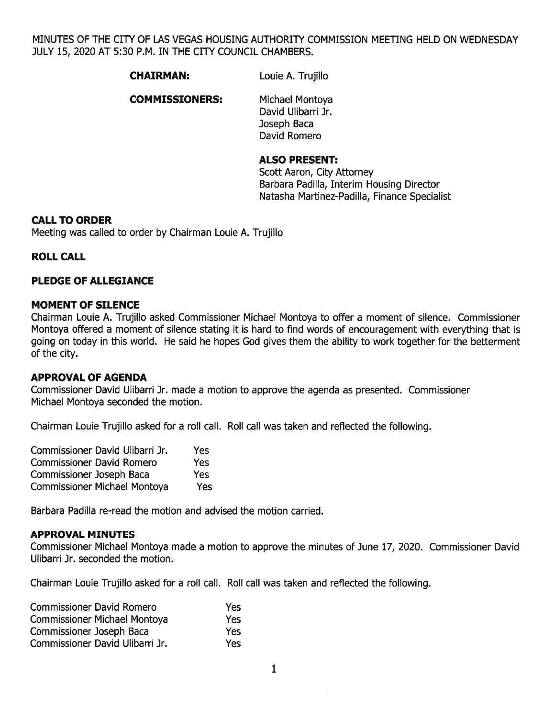MINUTES OF THE CITY OF LAS VEGAS HOUSING AUTHORITY COMMISSION MEETING HELD ON WEDNESDAY JULY 15, 2020 AT 5:30 RM. IN THE CITY COUNCIL CHAMBERS.

#### CHAIRMAN: Louie A. Trujillo

**COMMISSIONERS:** Michael Montoya

David Ulibarri Jr. Joseph Baca David Romero

#### ALSO PRESENT:

Scott Aaron, City Attorney Barbara Padilla, Interim Housing Director Natasha Martinez-Padilla, Finance Specialist

#### CALL TO ORDER

Meeting was called to order by Chairman Louie A. Trujillo

#### ROLL CALL

#### PLEDGE OF ALLEGIANCE

#### MOMENT OF SILENCE

Chairman Louie A. Trujillo asked Commissioner Michael Montoya to offer <sup>a</sup> moment of silence. Commissioner Montoya offered <sup>a</sup> moment of silence stating it is hard to find words of encouragemen<sup>t</sup> with everything that is going on today in this world. He said he hopes God gives them the ability to work together for the betterment of the city.

#### APPROVAL OF AGENDA

Commissioner David Ulibarri Jr. made <sup>a</sup> motion to approve the agenda as presented. Commissioner Michael Montoya seconded the motion.

Chairman Louie Trujillo asked for <sup>a</sup> roll call. Roll call was taken and reflected the following.

| Commissioner David Ulibarri Jr.     | Yes |
|-------------------------------------|-----|
| <b>Commissioner David Romero</b>    | Yes |
| Commissioner Joseph Baca            | Yes |
| <b>Commissioner Michael Montoya</b> | Yes |

Barbara Padilla re-read the motion and advised the motion carried.

#### APPROVAL MINUTES

Commissioner Michael Montoya made <sup>a</sup> motion to approve the minutes of June 17, 2020. Commissioner David Ulibarri Jr. seconded the motion.

Chairman Louie Trujillo asked for <sup>a</sup> roll call. Roll call was taken and reflected the following.

| <b>Commissioner David Romero</b>    | <b>Yes</b> |
|-------------------------------------|------------|
| <b>Commissioner Michael Montoya</b> | <b>Yes</b> |
| <b>Commissioner Joseph Baca</b>     | <b>Yes</b> |
| Commissioner David Ulibarri Jr.     | Yes        |

1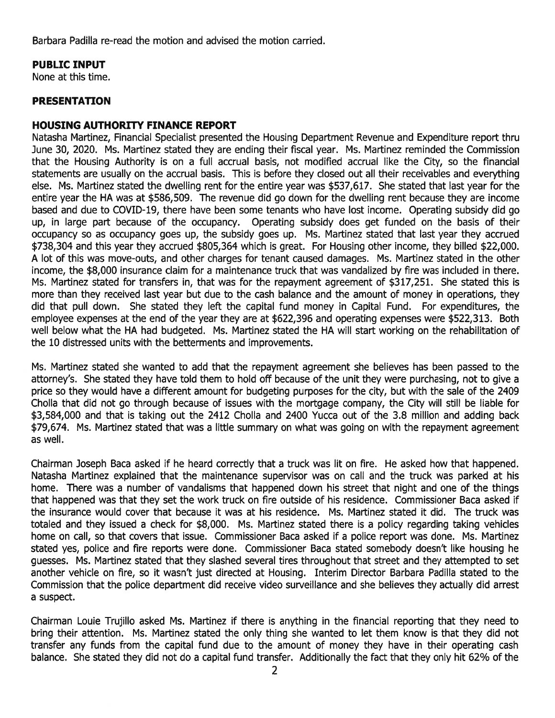Barbara Padilla re-read the motion and advised the motion carried.

## PUBLIC INPUT

None at this time.

### PRESENTATION

#### HOUSING AUTHORITY FINANCE REPORT

Natasha Martinez, Financial Specialist presented the Housing Department Revenue and Expenditure repor<sup>t</sup> thru June 30, 2020. Ms. Martinez stated they are ending their fiscal year. Ms. Martinez reminded the Commission that the Housing Authority is on <sup>a</sup> full accrual basis, not modified accrual like the City, so the financial statements are usually on the accrual basis. This is before they closed out all their receivables and everything else. Ms. Martinez stated the dwelling rent for the entire year was \$537,617. She stated that last year for the entire year the HA was at \$586,509. The revenue did go down for the dwelling rent because they are income based and due to COVID-19, there have been some tenants who have lost income. Operating subsidy did go up, in large par<sup>t</sup> because of the occupancy. Operating subsidy does ge<sup>t</sup> funded on the basis of their occupancy so as occupancy goes up, the subsidy goes up. Ms. Martinez stated that last year they accrued \$738,304 and this year they accrued \$805,364 which is great. For Housing other income, they billed \$22,000. A lot of this was move-outs, and other charges for tenant caused damages. Ms. Martinez stated in the other income, the \$8,000 insurance claim for <sup>a</sup> maintenance truck that was vandalized by fire was included in there. Ms. Martinez stated for transfers in, that was for the repaymen<sup>t</sup> agreemen<sup>t</sup> of \$317,251. She stated this is more than they received last year but due to the cash balance and the amount of money in operations, they did that pull down. She stated they left the capital fund money in Capital Fund. For expenditures, the employee expenses at the end of the year they are at \$622,396 and operating expenses were \$522,313. Both well below what the HA had budgeted. Ms. Martinez stated the HA will start working on the rehabilitation of the 10 distressed units with the betterments and improvements.

Ms. Martinez stated she wanted to add that the repaymen<sup>t</sup> agreemen<sup>t</sup> she believes has been passed to the attorney's. She stated they have told them to hold off because of the unit they were purchasing, not to give <sup>a</sup> price so they would have <sup>a</sup> different amount for budgeting purposes for the city, but with the sale of the 2409 Cholla that did not go through because of issues with the mortgage company, the City will still be liable for \$3,584,000 and that is taking out the 2412 Cholla and 2400 Yucca out of the 3.8 million and adding back \$79,674. Ms. Martinez stated that was <sup>a</sup> little summary on what was going on with the repaymen<sup>t</sup> agreemen<sup>t</sup> as well.

Chairman Joseph Baca asked if he heard correctly that <sup>a</sup> truck was lit on fire. He asked how that happened. Natasha Martinez explained that the maintenance supervisor was on call and the truck was parked at his home. There was <sup>a</sup> number of vandalisms that happened down his street that night and one of the things that happened was that they set the work truck on fire outside of his residence. Commissioner Baca asked if the insurance would cover that because it was at his residence. Ms. Martinez stated it did. The truck was totaled and they issued <sup>a</sup> check for \$8,000. Ms. Martinez stated there is <sup>a</sup> policy regarding taking vehicles home on call, so that covers that issue. Commissioner Baca asked if <sup>a</sup> police repor<sup>t</sup> was done. Ms. Martinez stated yes, police and fire reports were done. Commissioner Baca stated somebody doesn't like housing he guesses. Ms. Martinez stated that they slashed several tires throughout that street and they attempted to set another vehicle on fire, so it wasn't just directed at Housing. Interim Director Barbara Padilla stated to the Commission that the police department did receive video surveillance and she believes they actually did arrest <sup>a</sup> suspect.

Chairman Louie Trujillo asked Ms. Martinez if there is anything in the financial reporting that they need to bring their attention. Ms. Martinez stated the only thing she wanted to let them know is that they did not transfer any funds from the capital fund due to the amount of money they have in their operating cash balance. She stated they did not do <sup>a</sup> capital fund transfer. Additionally the fact that they only hit 62% of the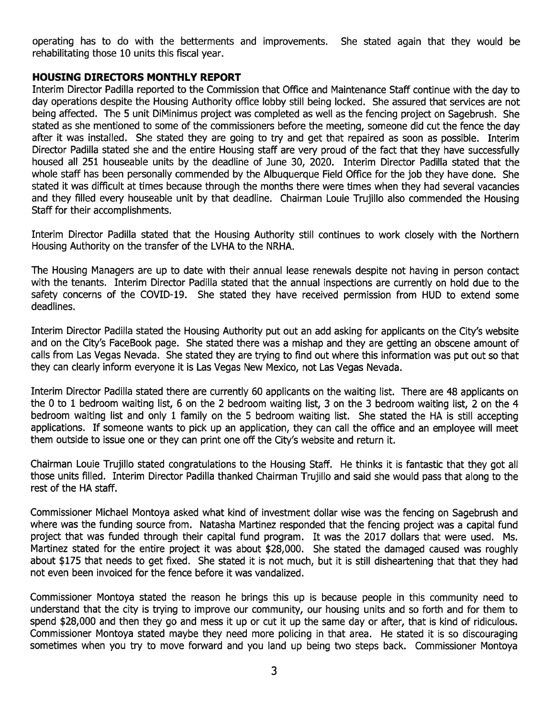operating has to do with the betterments and improvements. She stated again that they would be rehabilitating those 10 units this fiscal year.

#### HOUSING DIRECTORS MONTHLY REPORT

Interim Director Padilla reported to the Commission that Office and Maintenance Staff continue with the day to day operations despite the Housing Authority office lobby still being locked. She assured that services are not being affected. The 5 unit DiMinimus project was completed as well as the fencing project on Sagebrush. She stated as she mentioned to some of the commissioners before the meeting, someone did cut the fence the day after it was installed. She stated they are going to try and ge<sup>t</sup> that repaired as soon as possible. Interim Director Padilla stated she and the entire Housing staff are very proud of the fact that they have successfully housed all 251 houseable units by the deadline of June 30, 2020. Interim Director Padilla stated that the whole staff has been personally commended by the Albuquerque Field Office for the job they have done. She stated it was difficult at times because through the months there were times when they had several vacancies and they filled every houseable unit by that deadline. Chairman Louie Trujillo also commended the Housing Staff for their accomplishments.

Interim Director Padilla stated that the Housing Authority still continues to work closely with the Northern Housing Authority on the transfer of the LVHA to the NRHA.

The Housing Managers are up to date with their annual lease renewals despite not having in person contact with the tenants. Interim Director Padilla stated that the annual inspections are currently on hold due to the safety concerns of the COVID-19. She stated they have received permission from HUD to extend some deadlines.

Interim Director Padilla stated the Housing Authority pu<sup>t</sup> out an add asking for applicants on the City's website and on the City's FaceBook page. She stated there was <sup>a</sup> mishap and they are getting an obscene amount of calls from Las Vegas Nevada. She stated they are trying to find out where this information was pu<sup>t</sup> out so that they can clearly inform everyone it is Las Vegas New Mexico, not Las Vegas Nevada.

Interim Director Padilla stated there are currently 60 applicants on the waiting list. There are 48 applicants on the 0 to 1 bedroom waiting list, <sup>6</sup> on the 2 bedroom waiting list, 3 on the 3 bedroom waiting list, 2 on the 4 bedroom waiting list and only 1 family on the 5 bedroom waiting list. She stated the HA is still accepting applications. If someone wants to pick up an application, they can call the office and an employee will meet them outside to issue one or they can print one off the City's website and return it.

Chairman Louie Trujillo stated congratulations to the Housing Staff. He thinks it is fantastic that they go<sup>t</sup> all those units filled. Interim Director Padilla thanked Chairman Trujillo and said she would pass that along to the rest of the HA staff.

Commissioner Michael Montoya asked what kind of investment dollar wise was the fencing on Sagebrush and where was the funding source from. Natasha Martinez responded that the fencing project was <sup>a</sup> capital fund project that was funded through their capital fund program. It was the 2017 dollars that were used. Ms. Martinez stated for the entire project it was about \$28,000. She stated the damaged caused was roughly about \$175 that needs to ge<sup>t</sup> fixed. She stated it is not much, but it is still disheartening that that they had not even been invoiced for the fence before it was vandalized.

Commissioner Montoya stated the reason he brings this up is because people in this community need to understand that the city is trying to improve our community, our housing units and so forth and for them to spen<sup>d</sup> \$28,000 and then they go and mess it up or cut it up the same day or after, that is kind of ridiculous. Commissioner Montoya stated maybe they need more policing in that area. He stated it is so discouraging sometimes when you try to move forward and you land up being two steps back. Commissioner Montoya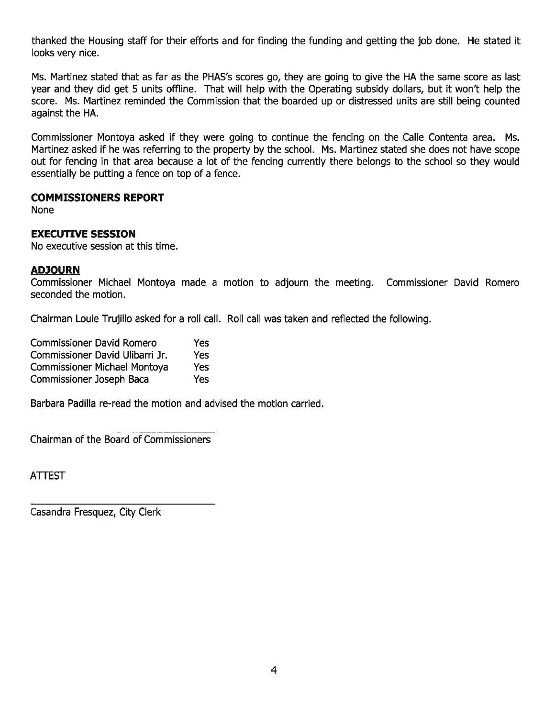thanked the Housing staff for their efforts and for finding the funding and getting the job done. He stated it looks very nice.

Ms. Martinez stated that as far as the PHAS's scores go, they are going to give the HA the same score as last year and they did ge<sup>t</sup> 5 units offline. That will help with the Operating subsidy dollars, but it won't help the score. Ms. Martinez reminded the Commission that the boarded up or distressed units are still being counted against the HA.

Commissioner Montoya asked if they were going to continue the fencing on the Calle Contenta area. Ms. Martinez asked if he was referring to the property by the school. Ms. Martinez stated she does not have scope out for fencing in that area because <sup>a</sup> lot of the fencing currently there belongs to the school so they would essentially be putting <sup>a</sup> fence on top of <sup>a</sup> fence.

#### COMMISSIONERS REPORT

None

#### EXECUTIVE SESSION

No executive session at this time.

#### ADJOURN

Commissioner Michael Montoya made <sup>a</sup> motion to adjourn the meeting. Commissioner David Romero seconded the motion.

Chairman Loule Trujillo asked for <sup>a</sup> roll call. Roll call was taken and reflected the following.

| <b>Commissioner David Romero</b>    | Yes |
|-------------------------------------|-----|
| Commissioner David Ulibarri Jr.     | Yes |
| <b>Commissioner Michael Montoya</b> | Yes |
| Commissioner Joseph Baca            | Yes |

Barbara Padilla re-read the motion and advised the motion carried.

Chairman of the Board of Commissioners

ATTEST

Casandra Fresquez, City Clerk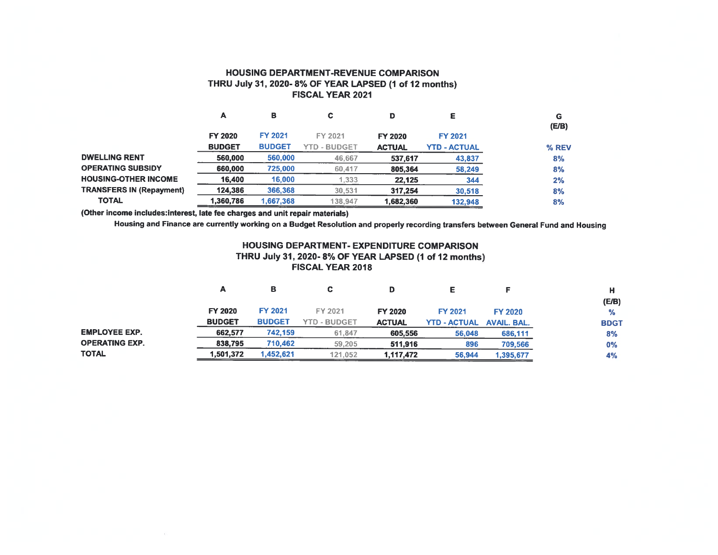#### HOUSING DEPARTMENT-REVENUE COMPARISON THRU July 31, 2020-8% OF YEAR LAPSED (1 of 12 months) FISCAL YEAR 2021

|                                 | А             | в              |                     | D             | ε                   | G<br>(E/B) |
|---------------------------------|---------------|----------------|---------------------|---------------|---------------------|------------|
|                                 | FY 2020       | <b>FY 2021</b> | FY 2021             | FY 2020       | <b>FY 2021</b>      |            |
|                                 | <b>BUDGET</b> | <b>BUDGET</b>  | <b>YTD - BUDGET</b> | <b>ACTUAL</b> | <b>YTD - ACTUAL</b> | % REV      |
| <b>DWELLING RENT</b>            | 560.000       | 560,000        | 46,667              | 537,617       | 43,837              | 8%         |
| <b>OPERATING SUBSIDY</b>        | 660,000       | 725,000        | 60,417              | 805,364       | 58,249              | 8%         |
| <b>HOUSING-OTHER INCOME</b>     | 16,400        | 16,000         | 1,333               | 22,125        | 344                 | 2%         |
| <b>TRANSFERS IN (Repayment)</b> | 124,386       | 366,368        | 30,531              | 317,254       | 30,518              | 8%         |
| <b>TOTAL</b>                    | 1,360,786     | 1,667,368      | 138,947             | 1.682.360     | 132,948             | 8%         |
|                                 |               |                |                     |               |                     |            |

(Other income includes:interest, late fee charges and unit repair materials)

Housing and Finance are currently working on a Budget Resolution and properly recording transfers between General Fund and Housing

#### HOUSING DEPARTMENT- EXPENDITURE COMPARISON THRU July 31, 2020-8% OF YEAR LAPSED (1 of 12 months) FISCAL YEAR 2018

|                       | А             | в              | С                   | D             |                     |                    | н             |
|-----------------------|---------------|----------------|---------------------|---------------|---------------------|--------------------|---------------|
|                       |               |                |                     |               |                     |                    | (E/B)         |
|                       | FY 2020       | <b>FY 2021</b> | FY 2021             | FY 2020       | <b>FY 2021</b>      | <b>FY 2020</b>     | $\frac{1}{2}$ |
|                       | <b>BUDGET</b> | <b>BUDGET</b>  | <b>YTD - BUDGET</b> | <b>ACTUAL</b> | <b>YTD - ACTUAL</b> | <b>AVAIL, BAL.</b> | <b>BDGT</b>   |
| <b>EMPLOYEE EXP.</b>  | 662,577       | 742,159        | 61,847              | 605,556       | 56,048              | 686,111            | 8%            |
| <b>OPERATING EXP.</b> | 838.795       | 710.462        | 59,205              | 511.916       | 896                 | 709,566            | $0\%$         |
| <b>TOTAL</b>          | 1,501,372     | 1,452,621      | 121,052             | 1,117,472     | 56,944              | 1,395,677          | 4%            |
|                       |               |                |                     |               |                     |                    |               |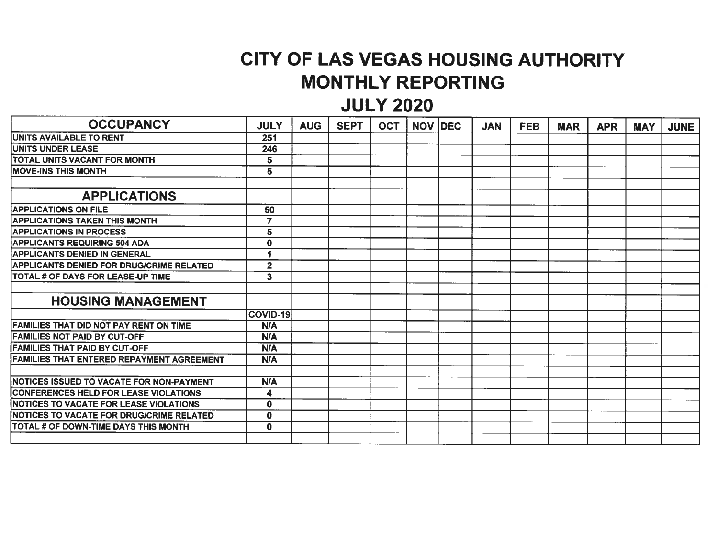# CITY OF LAS VEGAS HOUSING AUTHORITY MONTHLY REPORTING

## JULY 2020

| <b>OCCUPANCY</b>                                 | <b>JULY</b>             | <b>AUG</b> | <b>SEPT</b> | <b>OCT</b> | <b>NOV IDEC</b> | <b>JAN</b> | <b>FEB</b> | <b>MAR</b> | <b>APR</b> | <b>MAY</b> | <b>JUNE</b> |
|--------------------------------------------------|-------------------------|------------|-------------|------------|-----------------|------------|------------|------------|------------|------------|-------------|
| <b>UNITS AVAILABLE TO RENT</b>                   | 251                     |            |             |            |                 |            |            |            |            |            |             |
| <b>UNITS UNDER LEASE</b>                         | 246                     |            |             |            |                 |            |            |            |            |            |             |
| TOTAL UNITS VACANT FOR MONTH                     | 5                       |            |             |            |                 |            |            |            |            |            |             |
| <b>IMOVE-INS THIS MONTH</b>                      | 5                       |            |             |            |                 |            |            |            |            |            |             |
|                                                  |                         |            |             |            |                 |            |            |            |            |            |             |
| <b>APPLICATIONS</b>                              |                         |            |             |            |                 |            |            |            |            |            |             |
| <b>IAPPLICATIONS ON FILE</b>                     | 50                      |            |             |            |                 |            |            |            |            |            |             |
| <b>APPLICATIONS TAKEN THIS MONTH</b>             | $\overline{7}$          |            |             |            |                 |            |            |            |            |            |             |
| <b>APPLICATIONS IN PROCESS</b>                   | 5                       |            |             |            |                 |            |            |            |            |            |             |
| <b>APPLICANTS REQUIRING 504 ADA</b>              | $\mathbf 0$             |            |             |            |                 |            |            |            |            |            |             |
| <b>APPLICANTS DENIED IN GENERAL</b>              |                         |            |             |            |                 |            |            |            |            |            |             |
| <b>APPLICANTS DENIED FOR DRUG/CRIME RELATED</b>  | $\overline{2}$          |            |             |            |                 |            |            |            |            |            |             |
| <b>TOTAL # OF DAYS FOR LEASE-UP TIME</b>         | $\overline{\mathbf{3}}$ |            |             |            |                 |            |            |            |            |            |             |
|                                                  |                         |            |             |            |                 |            |            |            |            |            |             |
| <b>HOUSING MANAGEMENT</b>                        |                         |            |             |            |                 |            |            |            |            |            |             |
|                                                  | COVID-19                |            |             |            |                 |            |            |            |            |            |             |
| <b>FAMILIES THAT DID NOT PAY RENT ON TIME</b>    | <b>N/A</b>              |            |             |            |                 |            |            |            |            |            |             |
| <b>FAMILIES NOT PAID BY CUT-OFF</b>              | <b>N/A</b>              |            |             |            |                 |            |            |            |            |            |             |
| <b>FAMILIES THAT PAID BY CUT-OFF</b>             | <b>N/A</b>              |            |             |            |                 |            |            |            |            |            |             |
| <b>FAMILIES THAT ENTERED REPAYMENT AGREEMENT</b> | <b>N/A</b>              |            |             |            |                 |            |            |            |            |            |             |
|                                                  |                         |            |             |            |                 |            |            |            |            |            |             |
| NOTICES ISSUED TO VACATE FOR NON-PAYMENT         | <b>N/A</b>              |            |             |            |                 |            |            |            |            |            |             |
| <b>CONFERENCES HELD FOR LEASE VIOLATIONS</b>     | 4                       |            |             |            |                 |            |            |            |            |            |             |
| <b>INOTICES TO VACATE FOR LEASE VIOLATIONS</b>   | 0                       |            |             |            |                 |            |            |            |            |            |             |
| NOTICES TO VACATE FOR DRUG/CRIME RELATED         | $\mathbf 0$             |            |             |            |                 |            |            |            |            |            |             |
| <b>TOTAL # OF DOWN-TIME DAYS THIS MONTH</b>      | $\mathbf 0$             |            |             |            |                 |            |            |            |            |            |             |
|                                                  |                         |            |             |            |                 |            |            |            |            |            |             |